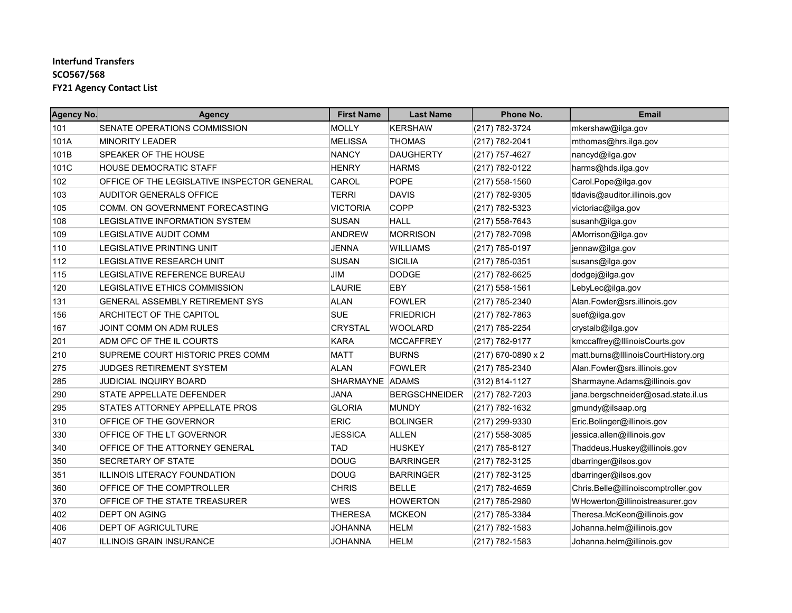| <b>Agency No.</b> | <b>Agency</b>                               | <b>First Name</b> | <b>Last Name</b>     | Phone No.          | <b>Email</b>                        |
|-------------------|---------------------------------------------|-------------------|----------------------|--------------------|-------------------------------------|
| 101               | SENATE OPERATIONS COMMISSION                | <b>MOLLY</b>      | <b>KERSHAW</b>       | (217) 782-3724     | mkershaw@ilga.gov                   |
| 101A              | <b>MINORITY LEADER</b>                      | <b>MELISSA</b>    | <b>THOMAS</b>        | (217) 782-2041     | mthomas@hrs.ilga.gov                |
| 101B              | SPEAKER OF THE HOUSE                        | <b>NANCY</b>      | <b>DAUGHERTY</b>     | (217) 757-4627     | nancyd@ilga.gov                     |
| 101C              | <b>HOUSE DEMOCRATIC STAFF</b>               | <b>HENRY</b>      | <b>HARMS</b>         | (217) 782-0122     | harms@hds.ilga.gov                  |
| 102               | OFFICE OF THE LEGISLATIVE INSPECTOR GENERAL | <b>CAROL</b>      | <b>POPE</b>          | (217) 558-1560     | Carol.Pope@ilga.gov                 |
| 103               | AUDITOR GENERALS OFFICE                     | <b>TERRI</b>      | <b>DAVIS</b>         | (217) 782-9305     | tldavis@auditor.illinois.gov        |
| 105               | COMM. ON GOVERNMENT FORECASTING             | <b>VICTORIA</b>   | <b>COPP</b>          | (217) 782-5323     | victoriac@ilga.gov                  |
| 108               | LEGISLATIVE INFORMATION SYSTEM              | <b>SUSAN</b>      | <b>HALL</b>          | (217) 558-7643     | susanh@ilga.gov                     |
| 109               | <b>LEGISLATIVE AUDIT COMM</b>               | <b>ANDREW</b>     | <b>MORRISON</b>      | (217) 782-7098     | AMorrison@ilga.gov                  |
| 110               | <b>LEGISLATIVE PRINTING UNIT</b>            | <b>JENNA</b>      | <b>WILLIAMS</b>      | (217) 785-0197     | jennaw@ilga.gov                     |
| 112               | LEGISLATIVE RESEARCH UNIT                   | <b>SUSAN</b>      | <b>SICILIA</b>       | (217) 785-0351     | susans@ilga.gov                     |
| 115               | LEGISLATIVE REFERENCE BUREAU                | JIM               | <b>DODGE</b>         | (217) 782-6625     | dodgej@ilga.gov                     |
| 120               | <b>LEGISLATIVE ETHICS COMMISSION</b>        | <b>LAURIE</b>     | EBY                  | (217) 558-1561     | LebyLec@ilga.gov                    |
| 131               | <b>GENERAL ASSEMBLY RETIREMENT SYS</b>      | ALAN              | <b>FOWLER</b>        | (217) 785-2340     | Alan.Fowler@srs.illinois.gov        |
| 156               | ARCHITECT OF THE CAPITOL                    | <b>SUE</b>        | <b>FRIEDRICH</b>     | (217) 782-7863     | suef@ilga.gov                       |
| 167               | JOINT COMM ON ADM RULES                     | <b>CRYSTAL</b>    | <b>WOOLARD</b>       | (217) 785-2254     | crystalb@ilga.gov                   |
| 201               | ADM OFC OF THE IL COURTS                    | <b>KARA</b>       | <b>MCCAFFREY</b>     | (217) 782-9177     | kmccaffrey@IllinoisCourts.gov       |
| 210               | SUPREME COURT HISTORIC PRES COMM            | <b>MATT</b>       | <b>BURNS</b>         | (217) 670-0890 x 2 | matt.burns@lllinoisCourtHistory.org |
| 275               | <b>JUDGES RETIREMENT SYSTEM</b>             | <b>ALAN</b>       | <b>FOWLER</b>        | (217) 785-2340     | Alan Fowler@srs.illinois.gov        |
| 285               | <b>JUDICIAL INQUIRY BOARD</b>               | SHARMAYNE ADAMS   |                      | (312) 814-1127     | Sharmayne.Adams@illinois.gov        |
| 290               | STATE APPELLATE DEFENDER                    | <b>JANA</b>       | <b>BERGSCHNEIDER</b> | (217) 782-7203     | jana.bergschneider@osad.state.il.us |
| 295               | STATES ATTORNEY APPELLATE PROS              | <b>GLORIA</b>     | <b>MUNDY</b>         | (217) 782-1632     | gmundy@ilsaap.org                   |
| 310               | OFFICE OF THE GOVERNOR                      | <b>ERIC</b>       | <b>BOLINGER</b>      | (217) 299-9330     | Eric.Bolinger@illinois.gov          |
| 330               | OFFICE OF THE LT GOVERNOR                   | <b>JESSICA</b>    | <b>ALLEN</b>         | (217) 558-3085     | jessica.allen@illinois.gov          |
| 340               | OFFICE OF THE ATTORNEY GENERAL              | <b>TAD</b>        | <b>HUSKEY</b>        | (217) 785-8127     | Thaddeus.Huskey@illinois.gov        |
| 350               | SECRETARY OF STATE                          | <b>DOUG</b>       | <b>BARRINGER</b>     | (217) 782-3125     | dbarringer@ilsos.gov                |
| 351               | <b>ILLINOIS LITERACY FOUNDATION</b>         | <b>DOUG</b>       | <b>BARRINGER</b>     | (217) 782-3125     | dbarringer@ilsos.gov                |
| 360               | OFFICE OF THE COMPTROLLER                   | <b>CHRIS</b>      | <b>BELLE</b>         | (217) 782-4659     | Chris.Belle@illinoiscomptroller.gov |
| 370               | OFFICE OF THE STATE TREASURER               | <b>WES</b>        | <b>HOWERTON</b>      | (217) 785-2980     | WHowerton@illinoistreasurer.gov     |
| 402               | DEPT ON AGING                               | <b>THERESA</b>    | <b>MCKEON</b>        | (217) 785-3384     | Theresa.McKeon@illinois.gov         |
| 406               | DEPT OF AGRICULTURE                         | <b>JOHANNA</b>    | <b>HELM</b>          | (217) 782-1583     | Johanna.helm@illinois.gov           |
| 407               | ILLINOIS GRAIN INSURANCE                    | <b>JOHANNA</b>    | <b>HELM</b>          | (217) 782-1583     | Johanna.helm@illinois.gov           |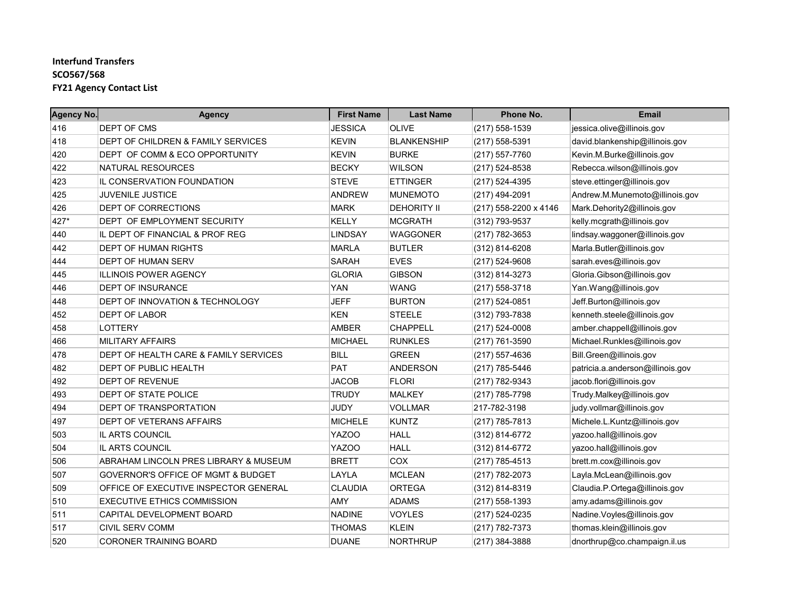| <b>Agency No.</b> | <b>Agency</b>                         | <b>First Name</b> | <b>Last Name</b>   | Phone No.             | <b>Email</b>                     |
|-------------------|---------------------------------------|-------------------|--------------------|-----------------------|----------------------------------|
| 416               | DEPT OF CMS                           | <b>JESSICA</b>    | <b>OLIVE</b>       | (217) 558-1539        | jessica olive@illinois.gov       |
| 418               | DEPT OF CHILDREN & FAMILY SERVICES    | <b>KEVIN</b>      | <b>BLANKENSHIP</b> | (217) 558-5391        | david.blankenship@illinois.gov   |
| 420               | DEPT OF COMM & ECO OPPORTUNITY        | <b>KEVIN</b>      | <b>BURKE</b>       | (217) 557-7760        | Kevin.M.Burke@illinois.gov       |
| 422               | NATURAL RESOURCES                     | <b>BECKY</b>      | <b>WILSON</b>      | (217) 524-8538        | Rebecca.wilson@illinois.gov      |
| 423               | IL CONSERVATION FOUNDATION            | <b>STEVE</b>      | <b>ETTINGER</b>    | (217) 524-4395        | steve.ettinger@illinois.gov      |
| 425               | JUVENILE JUSTICE                      | <b>ANDREW</b>     | <b>MUNEMOTO</b>    | (217) 494-2091        | Andrew.M.Munemoto@illinois.gov   |
| 426               | DEPT OF CORRECTIONS                   | <b>MARK</b>       | <b>DEHORITY II</b> | (217) 558-2200 x 4146 | Mark.Dehority2@illinois.gov      |
| 427*              | DEPT OF EMPLOYMENT SECURITY           | <b>KELLY</b>      | <b>MCGRATH</b>     | (312) 793-9537        | kelly.mcgrath@illinois.gov       |
| 440               | IL DEPT OF FINANCIAL & PROF REG       | <b>LINDSAY</b>    | <b>WAGGONER</b>    | (217) 782-3653        | lindsay waggoner@illinois.gov    |
| 442               | DEPT OF HUMAN RIGHTS                  | <b>MARLA</b>      | <b>BUTLER</b>      | (312) 814-6208        | Marla.Butler@illinois.gov        |
| 444               | DEPT OF HUMAN SERV                    | <b>SARAH</b>      | <b>EVES</b>        | (217) 524-9608        | sarah.eves@illinois.gov          |
| 445               | ILLINOIS POWER AGENCY                 | <b>GLORIA</b>     | <b>GIBSON</b>      | (312) 814-3273        | Gloria. Gibson@illinois.gov      |
| 446               | DEPT OF INSURANCE                     | <b>YAN</b>        | <b>WANG</b>        | (217) 558-3718        | Yan.Wang@illinois.gov            |
| 448               | DEPT OF INNOVATION & TECHNOLOGY       | JEFF              | <b>BURTON</b>      | (217) 524-0851        | Jeff.Burton@illinois.gov         |
| 452               | <b>DEPT OF LABOR</b>                  | <b>KEN</b>        | <b>STEELE</b>      | (312) 793-7838        | kenneth.steele@illinois.gov      |
| 458               | LOTTERY                               | <b>AMBER</b>      | <b>CHAPPELL</b>    | (217) 524-0008        | amber.chappell@illinois.gov      |
| 466               | <b>MILITARY AFFAIRS</b>               | <b>MICHAEL</b>    | <b>RUNKLES</b>     | (217) 761-3590        | Michael.Runkles@illinois.gov     |
| 478               | DEPT OF HEALTH CARE & FAMILY SERVICES | <b>BILL</b>       | <b>GREEN</b>       | (217) 557-4636        | Bill.Green@illinois.gov          |
| 482               | DEPT OF PUBLIC HEALTH                 | <b>PAT</b>        | <b>ANDERSON</b>    | (217) 785-5446        | patricia.a.anderson@illinois.gov |
| 492               | <b>DEPT OF REVENUE</b>                | <b>JACOB</b>      | <b>FLORI</b>       | (217) 782-9343        | jacob.flori@illinois.gov         |
| 493               | DEPT OF STATE POLICE                  | <b>TRUDY</b>      | <b>MALKEY</b>      | (217) 785-7798        | Trudy.Malkey@illinois.gov        |
| 494               | DEPT OF TRANSPORTATION                | <b>JUDY</b>       | <b>VOLLMAR</b>     | 217-782-3198          | judy.vollmar@illinois.gov        |
| 497               | DEPT OF VETERANS AFFAIRS              | <b>MICHELE</b>    | <b>KUNTZ</b>       | (217) 785-7813        | Michele.L.Kuntz@illinois.gov     |
| 503               | IL ARTS COUNCIL                       | YAZOO             | <b>HALL</b>        | (312) 814-6772        | yazoo.hall@illinois.gov          |
| 504               | IL ARTS COUNCIL                       | YAZOO             | <b>HALL</b>        | (312) 814-6772        | yazoo.hall@illinois.gov          |
| 506               | ABRAHAM LINCOLN PRES LIBRARY & MUSEUM | <b>BRETT</b>      | COX                | (217) 785-4513        | brett.m.cox@illinois.gov         |
| 507               | GOVERNOR'S OFFICE OF MGMT & BUDGET    | LAYLA             | <b>MCLEAN</b>      | (217) 782-2073        | Layla.McLean@illinois.gov        |
| 509               | OFFICE OF EXECUTIVE INSPECTOR GENERAL | <b>CLAUDIA</b>    | <b>ORTEGA</b>      | (312) 814-8319        | Claudia.P.Ortega@illinois.gov    |
| 510               | <b>EXECUTIVE ETHICS COMMISSION</b>    | AMY               | <b>ADAMS</b>       | (217) 558-1393        | amy.adams@illinois.gov           |
| 511               | CAPITAL DEVELOPMENT BOARD             | <b>NADINE</b>     | <b>VOYLES</b>      | (217) 524-0235        | Nadine Voyles@illinois.gov       |
| 517               | <b>CIVIL SERV COMM</b>                | <b>THOMAS</b>     | <b>KLEIN</b>       | (217) 782-7373        | thomas.klein@illinois.gov        |
| 520               | <b>CORONER TRAINING BOARD</b>         | <b>DUANE</b>      | <b>NORTHRUP</b>    | (217) 384-3888        | dnorthrup@co.champaign.il.us     |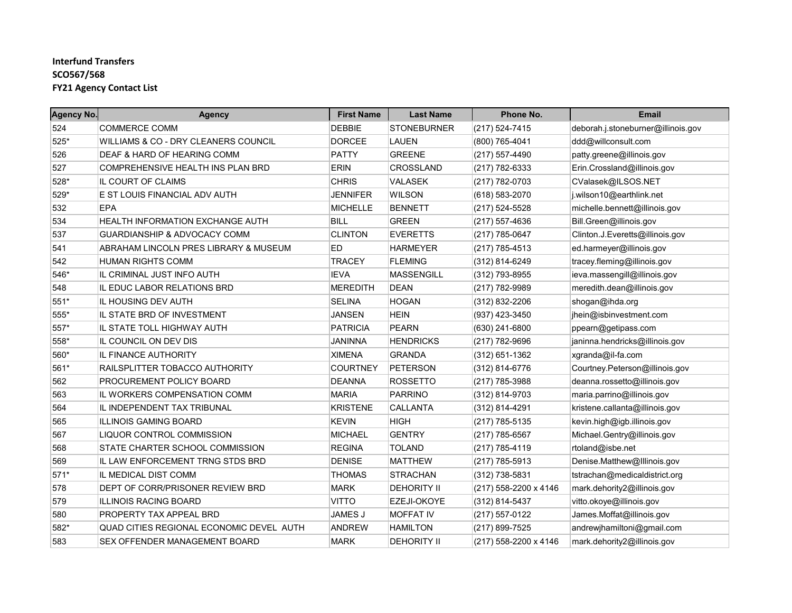| <b>Agency No.</b> | <b>Agency</b>                            | <b>First Name</b> | <b>Last Name</b>   | Phone No.             | <b>Email</b>                       |
|-------------------|------------------------------------------|-------------------|--------------------|-----------------------|------------------------------------|
| 524               | <b>COMMERCE COMM</b>                     | <b>DEBBIE</b>     | <b>STONEBURNER</b> | (217) 524-7415        | deborah.j.stoneburner@illinois.gov |
| 525*              | WILLIAMS & CO - DRY CLEANERS COUNCIL     | <b>DORCEE</b>     | LAUEN              | (800) 765-4041        | ddd@willconsult.com                |
| 526               | DEAF & HARD OF HEARING COMM              | <b>PATTY</b>      | <b>GREENE</b>      | (217) 557-4490        | patty.greene@illinois.gov          |
| 527               | COMPREHENSIVE HEALTH INS PLAN BRD        | <b>ERIN</b>       | CROSSLAND          | (217) 782-6333        | Erin.Crossland@illinois.gov        |
| 528*              | IL COURT OF CLAIMS                       | <b>CHRIS</b>      | <b>VALASEK</b>     | (217) 782-0703        | CValasek@ILSOS.NET                 |
| 529*              | E ST LOUIS FINANCIAL ADV AUTH            | <b>JENNIFER</b>   | <b>WILSON</b>      | (618) 583-2070        | j.wilson10@earthlink.net           |
| 532               | <b>EPA</b>                               | <b>MICHELLE</b>   | <b>BENNETT</b>     | (217) 524-5528        | michelle.bennett@illinois.gov      |
| 534               | HEALTH INFORMATION EXCHANGE AUTH         | <b>BILL</b>       | <b>GREEN</b>       | (217) 557-4636        | Bill.Green@illinois.gov            |
| 537               | <b>GUARDIANSHIP &amp; ADVOCACY COMM</b>  | <b>CLINTON</b>    | <b>EVERETTS</b>    | (217) 785-0647        | Clinton.J.Everetts@illinois.gov    |
| 541               | ABRAHAM LINCOLN PRES LIBRARY & MUSEUM    | ED                | <b>HARMEYER</b>    | (217) 785-4513        | ed.harmeyer@illinois.gov           |
| 542               | <b>HUMAN RIGHTS COMM</b>                 | <b>TRACEY</b>     | <b>FLEMING</b>     | (312) 814-6249        | tracey.fleming@illinois.gov        |
| 546*              | IL CRIMINAL JUST INFO AUTH               | <b>IEVA</b>       | <b>MASSENGILL</b>  | (312) 793-8955        | ieva.massengill@illinois.gov       |
| 548               | IL EDUC LABOR RELATIONS BRD              | <b>MEREDITH</b>   | <b>DEAN</b>        | (217) 782-9989        | meredith.dean@illinois.gov         |
| 551*              | IL HOUSING DEV AUTH                      | <b>SELINA</b>     | <b>HOGAN</b>       | (312) 832-2206        | shogan@ihda.org                    |
| 555*              | IL STATE BRD OF INVESTMENT               | <b>JANSEN</b>     | <b>HEIN</b>        | (937) 423-3450        | jhein@isbinvestment.com            |
| 557*              | IL STATE TOLL HIGHWAY AUTH               | PATRICIA          | <b>PEARN</b>       | (630) 241-6800        | ppearn@getipass.com                |
| 558*              | IL COUNCIL ON DEV DIS                    | JANINNA           | <b>HENDRICKS</b>   | (217) 782-9696        | janinna.hendricks@illinois.gov     |
| 560*              | IL FINANCE AUTHORITY                     | <b>XIMENA</b>     | GRANDA             | $(312)$ 651-1362      | xgranda@il-fa.com                  |
| 561*              | RAILSPLITTER TOBACCO AUTHORITY           | <b>COURTNEY</b>   | <b>PETERSON</b>    | (312) 814-6776        | Courtney Peterson@illinois.gov     |
| 562               | PROCUREMENT POLICY BOARD                 | DEANNA            | <b>ROSSETTO</b>    | (217) 785-3988        | deanna.rossetto@illinois.gov       |
| 563               | IL WORKERS COMPENSATION COMM             | <b>MARIA</b>      | PARRINO            | (312) 814-9703        | maria.parrino@illinois.gov         |
| 564               | IL INDEPENDENT TAX TRIBUNAL              | <b>KRISTENE</b>   | <b>CALLANTA</b>    | (312) 814-4291        | kristene.callanta@illinois.gov     |
| 565               | <b>ILLINOIS GAMING BOARD</b>             | <b>KEVIN</b>      | <b>HIGH</b>        | (217) 785-5135        | kevin.high@igb.illinois.gov        |
| 567               | LIQUOR CONTROL COMMISSION                | <b>MICHAEL</b>    | <b>GENTRY</b>      | $(217)$ 785-6567      | Michael.Gentry@illinois.gov        |
| 568               | STATE CHARTER SCHOOL COMMISSION          | <b>REGINA</b>     | <b>TOLAND</b>      | (217) 785-4119        | rtoland@isbe.net                   |
| 569               | IL LAW ENFORCEMENT TRNG STDS BRD         | <b>DENISE</b>     | <b>MATTHEW</b>     | (217) 785-5913        | Denise.Matthew@Illinois.gov        |
| $571*$            | IL MEDICAL DIST COMM                     | <b>THOMAS</b>     | STRACHAN           | (312) 738-5831        | tstrachan@medicaldistrict.org      |
| 578               | DEPT OF CORR/PRISONER REVIEW BRD         | <b>MARK</b>       | <b>DEHORITY II</b> | (217) 558-2200 x 4146 | mark.dehority2@illinois.gov        |
| 579               | <b>ILLINOIS RACING BOARD</b>             | <b>VITTO</b>      | <b>EZEJI-OKOYE</b> | $(312)$ 814-5437      | vitto.okoye@illinois.gov           |
| 580               | PROPERTY TAX APPEAL BRD                  | <b>JAMES J</b>    | <b>MOFFAT IV</b>   | (217) 557-0122        | James.Moffat@illinois.gov          |
| 582*              | QUAD CITIES REGIONAL ECONOMIC DEVEL AUTH | <b>ANDREW</b>     | <b>HAMILTON</b>    | (217) 899-7525        | andrewjhamiltoni@gmail.com         |
| 583               | SEX OFFENDER MANAGEMENT BOARD            | <b>MARK</b>       | <b>DEHORITY II</b> | (217) 558-2200 x 4146 | mark.dehority2@illinois.gov        |